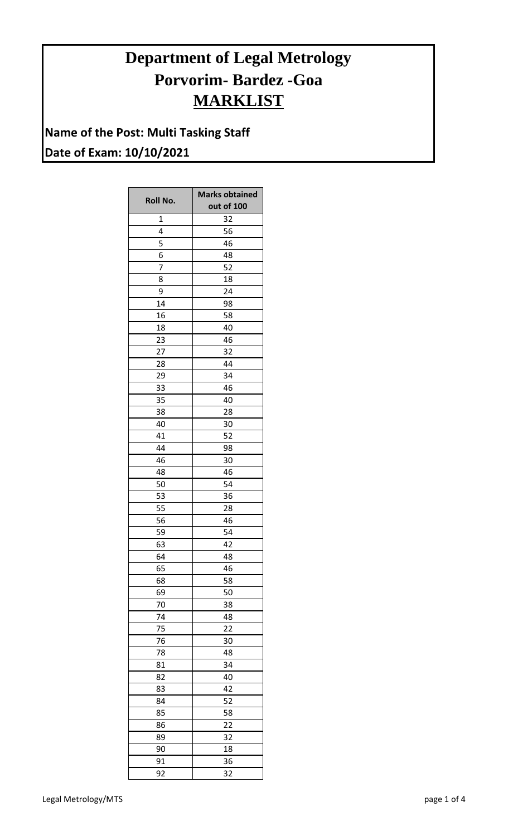## **Department of Legal Metrology Porvorim- Bardez -Goa MARKLIST**

**Name of the Post: Multi Tasking Staff Date of Exam: 10/10/2021**

|              | <b>Marks obtained</b> |
|--------------|-----------------------|
| Roll No.     | out of 100            |
| $\mathbf{1}$ | 32                    |
| 4            | 56                    |
| 5            | 46                    |
| 6            | 48                    |
| 7            | 52                    |
| 8            | 18                    |
| 9            | 24                    |
| 14           | 98                    |
| 16           | 58                    |
| 18           | 40                    |
| 23           | 46                    |
| 27           | 32                    |
| 28           | 44                    |
| 29           | 34                    |
| 33           | 46                    |
| 35           | 40                    |
| 38           | 28                    |
| 40           | 30                    |
| 41           | 52                    |
| 44           | 98                    |
| 46           | 30                    |
| 48           | 46                    |
| 50           | 54                    |
| 53           | 36                    |
| 55           | 28                    |
| 56           | 46                    |
| 59           | 54                    |
| 63           | 42                    |
| 64           | 48                    |
| 65           | 46                    |
| 68           | 58                    |
| 69           | 50                    |
| 70           | 38                    |
| 74           | 48                    |
| 75           | 22                    |
| 76           | 30                    |
| 78           | 48                    |
| 81           | 34                    |
| 82           | 40                    |
| 83           | 42                    |
| 84           | 52                    |
| 85           | 58                    |
| 86           | 22                    |
| 89           | 32                    |
| 90           | 18                    |
| 91           | 36                    |
| 92           | 32                    |
|              |                       |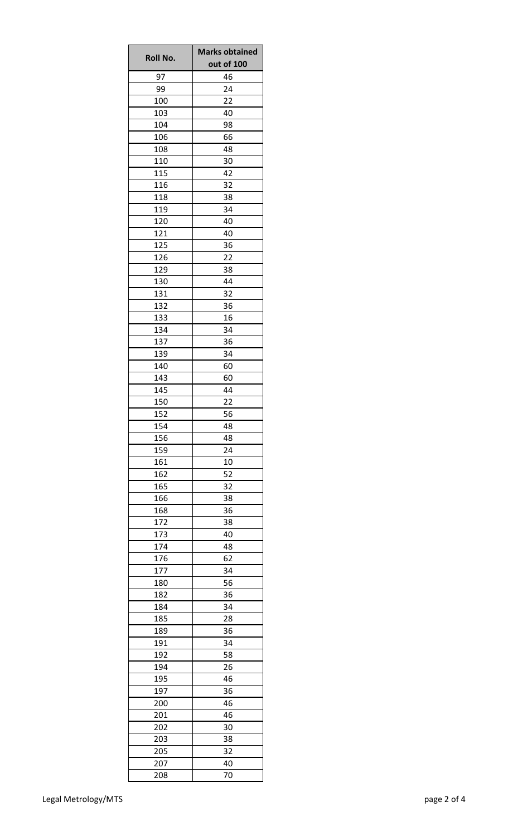| <b>Roll No.</b> | <b>Marks obtained</b><br>out of 100 |
|-----------------|-------------------------------------|
| 97              | 46                                  |
| 99              | 24                                  |
| 100             | 22                                  |
| 103             | 40                                  |
| 104             | 98                                  |
| 106             | 66                                  |
| 108             | 48                                  |
| 110             | 30                                  |
| 115             | 42                                  |
| 116             | 32                                  |
| 118             | 38                                  |
| 119             | 34                                  |
| 120             | 40                                  |
| 121             | 40                                  |
| 125             | 36                                  |
| 126             | 22                                  |
| 129             | 38                                  |
| 130             | 44                                  |
| 131             | 32                                  |
| 132             | 36                                  |
| 133             | 16                                  |
| 134             | 34                                  |
| 137             | 36                                  |
| 139             | 34                                  |
| 140             | 60                                  |
| 143             | 60                                  |
| 145             | 44                                  |
| 150             | 22                                  |
| 152             | 56                                  |
| 154             | 48                                  |
| 156             | 48                                  |
| 159             | 24                                  |
| 161<br>162      | 10<br>52                            |
| 165             | 32                                  |
| 166             | 38                                  |
| 168             | 36                                  |
| 172             | 38                                  |
| 173             | 40                                  |
| 174             | 48                                  |
| 176             | 62                                  |
| 177             | 34                                  |
| 180             | 56                                  |
| 182             | 36                                  |
| 184             | 34                                  |
| 185             | 28                                  |
| 189             | 36                                  |
| 191             | 34                                  |
| 192             | 58                                  |
| 194             | 26                                  |
| 195             | 46                                  |
| 197             | 36                                  |
| 200             | 46                                  |
| 201             | 46                                  |
| 202             | 30                                  |
| 203             | 38                                  |
| 205             | 32                                  |
| 207             | 40                                  |
| 208             | 70                                  |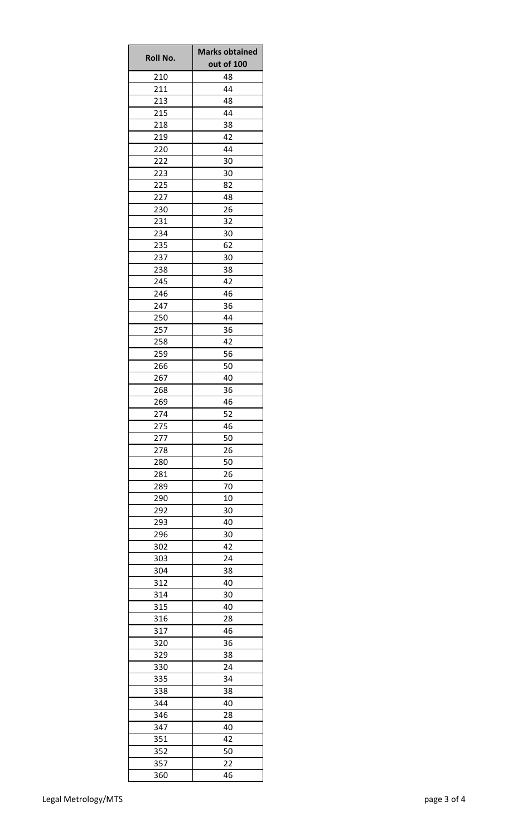| <b>Roll No.</b> | <b>Marks obtained</b><br>out of 100 |
|-----------------|-------------------------------------|
| 210             | 48                                  |
| 211             | 44                                  |
| 213             | 48                                  |
| 215             | 44                                  |
| 218             | 38                                  |
| 219             | 42                                  |
| 220             | 44                                  |
| 222             | 30                                  |
| 223             | 30                                  |
| 225             | 82                                  |
| 227             | 48                                  |
| 230             | 26                                  |
| 231             | 32                                  |
| 234             | 30                                  |
| 235             | 62                                  |
| 237             | 30                                  |
|                 | 38                                  |
| 238<br>245      | 42                                  |
| 246             | 46                                  |
|                 |                                     |
| 247<br>250      | 36<br>44                            |
|                 |                                     |
| 257             | 36                                  |
| 258             | 42                                  |
| 259             | 56                                  |
| 266             | 50                                  |
| 267             | 40                                  |
| 268             | 36                                  |
| 269             | 46                                  |
| 274             | 52                                  |
| 275             | 46                                  |
| 277             | 50                                  |
| 278             | 26                                  |
| 280             | 50                                  |
| 281             | 26                                  |
| 289             | 70                                  |
| 290             | 10                                  |
| 292             | 30                                  |
| 293             | 40                                  |
| 296             | 30                                  |
| 302             | 42                                  |
| 303             | 24                                  |
| 304             | 38                                  |
| 312             | 40                                  |
| 314             | 30                                  |
| 315             | 40                                  |
| 316             | 28                                  |
| 317             | 46                                  |
| 320             | 36                                  |
| 329             | 38                                  |
| 330             | 24                                  |
| 335             | 34                                  |
| 338             | 38                                  |
| 344             | 40                                  |
| 346             | 28                                  |
| 347             | 40                                  |
| 351             | 42                                  |
| 352             | 50                                  |
| 357             | 22                                  |
| 360             | 46                                  |
|                 |                                     |